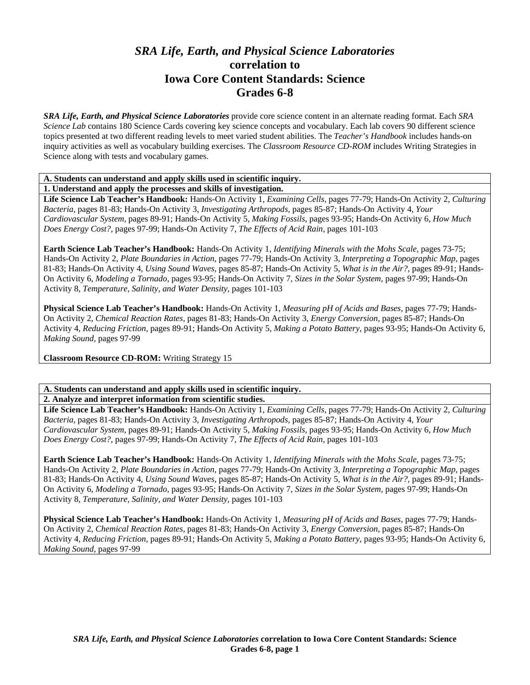## *SRA Life, Earth, and Physical Science Laboratories*  **correlation to Iowa Core Content Standards: Science Grades 6-8**

*SRA Life, Earth, and Physical Science Laboratories* provide core science content in an alternate reading format. Each *SRA Science Lab* contains 180 Science Cards covering key science concepts and vocabulary. Each lab covers 90 different science topics presented at two different reading levels to meet varied student abilities. The *Teacher's Handbook* includes hands-on inquiry activities as well as vocabulary building exercises. The *Classroom Resource CD-ROM* includes Writing Strategies in Science along with tests and vocabulary games.

## **A. Students can understand and apply skills used in scientific inquiry.**

**1. Understand and apply the processes and skills of investigation.** 

**Life Science Lab Teacher's Handbook:** Hands-On Activity 1, *Examining Cells,* pages 77-79; Hands-On Activity 2, *Culturing Bacteria,* pages 81-83; Hands-On Activity 3, *Investigating Arthropods,* pages 85-87; Hands-On Activity 4, *Your Cardiovascular System,* pages 89-91; Hands-On Activity 5, *Making Fossils,* pages 93-95; Hands-On Activity 6, *How Much Does Energy Cost?,* pages 97-99; Hands-On Activity 7, *The Effects of Acid Rain,* pages 101-103

**Earth Science Lab Teacher's Handbook:** Hands-On Activity 1, *Identifying Minerals with the Mohs Scale,* pages 73-75; Hands-On Activity 2, *Plate Boundaries in Action,* pages 77-79; Hands-On Activity 3, *Interpreting a Topographic Map,* pages 81-83; Hands-On Activity 4, *Using Sound Waves,* pages 85-87; Hands-On Activity 5, *What is in the Air?,* pages 89-91; Hands-On Activity 6, *Modeling a Tornado,* pages 93-95; Hands-On Activity 7, *Sizes in the Solar System,* pages 97-99; Hands-On Activity 8, *Temperature, Salinity, and Water Density,* pages 101-103

**Physical Science Lab Teacher's Handbook:** Hands-On Activity 1, *Measuring pH of Acids and Bases,* pages 77-79; Hands-On Activity 2, *Chemical Reaction Rates,* pages 81-83; Hands-On Activity 3, *Energy Conversion,* pages 85-87; Hands-On Activity 4, *Reducing Friction,* pages 89-91; Hands-On Activity 5, *Making a Potato Battery,* pages 93-95; Hands-On Activity 6, *Making Sound,* pages 97-99

**Classroom Resource CD-ROM:** Writing Strategy 15

## **A. Students can understand and apply skills used in scientific inquiry.**

## **2. Analyze and interpret information from scientific studies.**

**Life Science Lab Teacher's Handbook:** Hands-On Activity 1, *Examining Cells,* pages 77-79; Hands-On Activity 2, *Culturing Bacteria,* pages 81-83; Hands-On Activity 3, *Investigating Arthropods,* pages 85-87; Hands-On Activity 4, *Your Cardiovascular System,* pages 89-91; Hands-On Activity 5, *Making Fossils,* pages 93-95; Hands-On Activity 6, *How Much Does Energy Cost?,* pages 97-99; Hands-On Activity 7, *The Effects of Acid Rain,* pages 101-103

**Earth Science Lab Teacher's Handbook:** Hands-On Activity 1, *Identifying Minerals with the Mohs Scale,* pages 73-75; Hands-On Activity 2, *Plate Boundaries in Action,* pages 77-79; Hands-On Activity 3, *Interpreting a Topographic Map,* pages 81-83; Hands-On Activity 4, *Using Sound Waves,* pages 85-87; Hands-On Activity 5, *What is in the Air?,* pages 89-91; Hands-On Activity 6, *Modeling a Tornado,* pages 93-95; Hands-On Activity 7, *Sizes in the Solar System,* pages 97-99; Hands-On Activity 8, *Temperature, Salinity, and Water Density,* pages 101-103

**Physical Science Lab Teacher's Handbook:** Hands-On Activity 1, *Measuring pH of Acids and Bases,* pages 77-79; Hands-On Activity 2, *Chemical Reaction Rates,* pages 81-83; Hands-On Activity 3, *Energy Conversion,* pages 85-87; Hands-On Activity 4, *Reducing Friction,* pages 89-91; Hands-On Activity 5, *Making a Potato Battery,* pages 93-95; Hands-On Activity 6, *Making Sound,* pages 97-99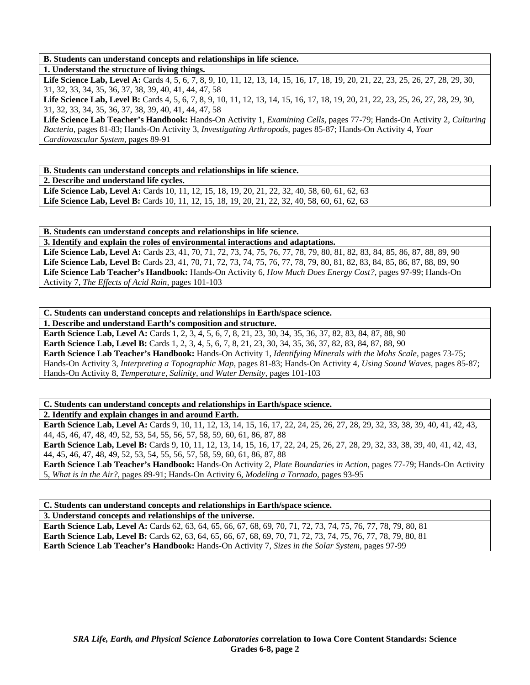**B. Students can understand concepts and relationships in life science.** 

**1. Understand the structure of living things.** 

Life Science Lab, Level A: Cards 4, 5, 6, 7, 8, 9, 10, 11, 12, 13, 14, 15, 16, 17, 18, 19, 20, 21, 22, 23, 25, 26, 27, 28, 29, 30, 31, 32, 33, 34, 35, 36, 37, 38, 39, 40, 41, 44, 47, 58

Life Science Lab, Level B: Cards 4, 5, 6, 7, 8, 9, 10, 11, 12, 13, 14, 15, 16, 17, 18, 19, 20, 21, 22, 23, 25, 26, 27, 28, 29, 30, 31, 32, 33, 34, 35, 36, 37, 38, 39, 40, 41, 44, 47, 58

**Life Science Lab Teacher's Handbook:** Hands-On Activity 1, *Examining Cells,* pages 77-79; Hands-On Activity 2, *Culturing Bacteria,* pages 81-83; Hands-On Activity 3, *Investigating Arthropods,* pages 85-87; Hands-On Activity 4, *Your Cardiovascular System,* pages 89-91

**B. Students can understand concepts and relationships in life science.** 

**2. Describe and understand life cycles.** 

Life Science Lab, Level A: Cards 10, 11, 12, 15, 18, 19, 20, 21, 22, 32, 40, 58, 60, 61, 62, 63 **Life Science Lab, Level B:** Cards 10, 11, 12, 15, 18, 19, 20, 21, 22, 32, 40, 58, 60, 61, 62, 63

**B. Students can understand concepts and relationships in life science.** 

**3. Identify and explain the roles of environmental interactions and adaptations.**  Life Science Lab, Level A: Cards 23, 41, 70, 71, 72, 73, 74, 75, 76, 77, 78, 79, 80, 81, 82, 83, 84, 85, 86, 87, 88, 89, 90 Life Science Lab, Level B: Cards 23, 41, 70, 71, 72, 73, 74, 75, 76, 77, 78, 79, 80, 81, 82, 83, 84, 85, 86, 87, 88, 89, 90 **Life Science Lab Teacher's Handbook:** Hands-On Activity 6, *How Much Does Energy Cost?,* pages 97-99; Hands-On Activity 7, *The Effects of Acid Rain,* pages 101-103

**C. Students can understand concepts and relationships in Earth/space science.** 

**1. Describe and understand Earth's composition and structure.** 

**Earth Science Lab, Level A:** Cards 1, 2, 3, 4, 5, 6, 7, 8, 21, 23, 30, 34, 35, 36, 37, 82, 83, 84, 87, 88, 90 **Earth Science Lab, Level B:** Cards 1, 2, 3, 4, 5, 6, 7, 8, 21, 23, 30, 34, 35, 36, 37, 82, 83, 84, 87, 88, 90 **Earth Science Lab Teacher's Handbook:** Hands-On Activity 1, *Identifying Minerals with the Mohs Scale,* pages 73-75; Hands-On Activity 3, *Interpreting a Topographic Map,* pages 81-83; Hands-On Activity 4, *Using Sound Waves,* pages 85-87; Hands-On Activity 8, *Temperature, Salinity, and Water Density,* pages 101-103

**C. Students can understand concepts and relationships in Earth/space science.** 

**2. Identify and explain changes in and around Earth.** 

**Earth Science Lab, Level A:** Cards 9, 10, 11, 12, 13, 14, 15, 16, 17, 22, 24, 25, 26, 27, 28, 29, 32, 33, 38, 39, 40, 41, 42, 43, 44, 45, 46, 47, 48, 49, 52, 53, 54, 55, 56, 57, 58, 59, 60, 61, 86, 87, 88

**Earth Science Lab, Level B:** Cards 9, 10, 11, 12, 13, 14, 15, 16, 17, 22, 24, 25, 26, 27, 28, 29, 32, 33, 38, 39, 40, 41, 42, 43, 44, 45, 46, 47, 48, 49, 52, 53, 54, 55, 56, 57, 58, 59, 60, 61, 86, 87, 88

**Earth Science Lab Teacher's Handbook:** Hands-On Activity 2, *Plate Boundaries in Action,* pages 77-79; Hands-On Activity 5, *What is in the Air?,* pages 89-91; Hands-On Activity 6, *Modeling a Tornado,* pages 93-95

**C. Students can understand concepts and relationships in Earth/space science.** 

**3. Understand concepts and relationships of the universe.** 

**Earth Science Lab, Level A:** Cards 62, 63, 64, 65, 66, 67, 68, 69, 70, 71, 72, 73, 74, 75, 76, 77, 78, 79, 80, 81 **Earth Science Lab, Level B:** Cards 62, 63, 64, 65, 66, 67, 68, 69, 70, 71, 72, 73, 74, 75, 76, 77, 78, 79, 80, 81 **Earth Science Lab Teacher's Handbook:** Hands-On Activity 7, *Sizes in the Solar System,* pages 97-99